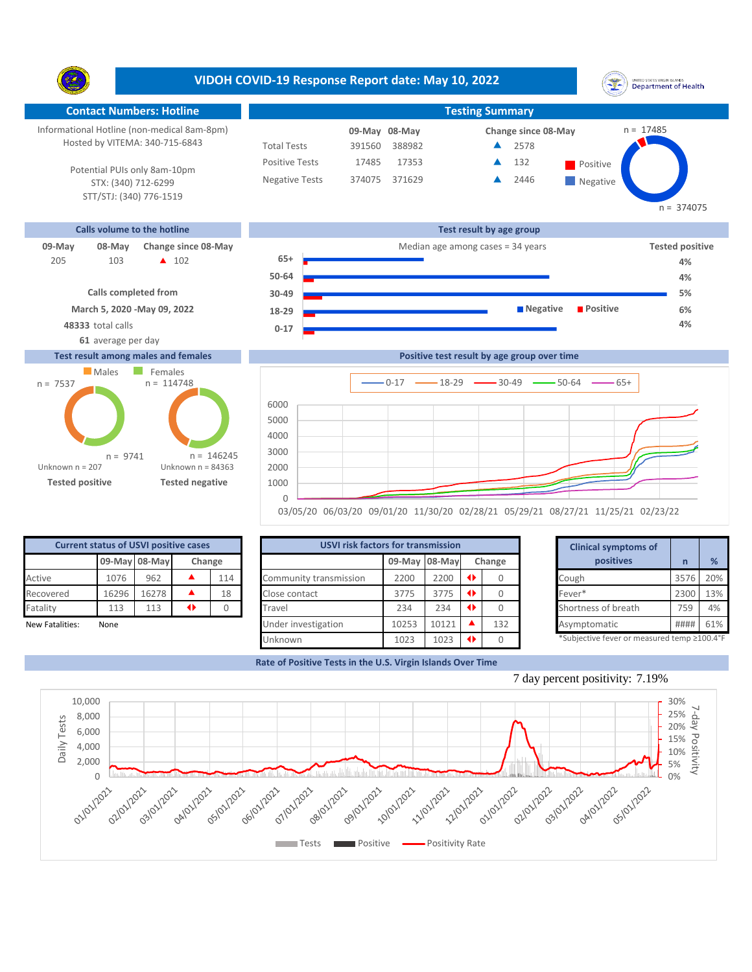**VIDOH COVID-19 Response Report date: May 10, 2022** UNITED STATES VIRGIN SLANDS<br>Department of Health Y. **Contact Numbers: Hotline Testing Summary** Informational Hotline (non-medical 8am-8pm) n = 17485 **08-May 09-May Change since 08-May** Hosted by VITEMA: 340-715-6843 Total Tests 391560 388982 2578 ▲ Positive Tests 17485 17353  $\triangle$  132 Positive  $\blacktriangle$ 132 Potential PUIs only 8am-10pm Negative Tests 374075 371629 2446 ▲ **Negative** STX: (340) 712-6299 STT/STJ: (340) 776-1519 **Calls volume to the hotline Test result by age group 09-May 08-May Change since 08-May Change since 08-May Change and Change among cases = 34 years <b>Tested positive Tested positive 65+** 103 **A** 102 205 **4% 50-64**





**Negative Positive** 

03/05/20 06/03/20 09/01/20 11/30/20 02/28/21 05/29/21 08/27/21 11/25/21 02/23/22

| <b>Current status of USVI positive cases</b> |                         |       |     |    |  |  |  |  |  |  |  |
|----------------------------------------------|-------------------------|-------|-----|----|--|--|--|--|--|--|--|
|                                              | 09-May 08-May<br>Change |       |     |    |  |  |  |  |  |  |  |
| Active                                       | 1076                    | 962   | 114 |    |  |  |  |  |  |  |  |
| Recovered                                    | 16296                   | 16278 |     | 18 |  |  |  |  |  |  |  |
| Fatality                                     | 113                     | 113   | Π   |    |  |  |  |  |  |  |  |
| New Fatalities:                              | None                    |       |     |    |  |  |  |  |  |  |  |

**Tested positive Tested negative**

n = 9741

Unknown n = 84363

n = 146245

Unknown n = 207

| <b>Current status of USVI positive cases</b> |       |               |    |        | <b>USVI risk factors for transmission</b> |       |               |        | <b>Clinical symptoms of</b>                |      |     |
|----------------------------------------------|-------|---------------|----|--------|-------------------------------------------|-------|---------------|--------|--------------------------------------------|------|-----|
|                                              |       | 09-May 08-May |    | Change |                                           |       | 09-May 08-May | Change | positives                                  |      | %   |
| Active                                       | 1076  | 962           |    | 114    | Community transmission                    | 2200  | 2200          |        | Cough                                      | 3576 | 20% |
| Recovered                                    | 16296 | 16278         |    | 18     | Close contact                             | 3775  | 3775          |        | Fever*                                     | 2300 | 13% |
| Fatality                                     | 113   | 113           | 41 |        | Travel                                    | 234   | 234           |        | Shortness of breath                        | 759  | 4%  |
| New Fatalities:                              | None  |               |    |        | Under investigation                       | 10253 | 10121         | 132    | Asymptomatic                               | #### | 61% |
|                                              |       |               |    |        | Unknown                                   | 1023  | 1023          |        | *Subjective fever or measured temp ≥100.4° |      |     |

|       | for transmission |     |        | <b>Clinical symptoms of</b>                                |              |     |  |
|-------|------------------|-----|--------|------------------------------------------------------------|--------------|-----|--|
|       | 09-May 08-May    |     | Change | positives                                                  | $\mathsf{n}$ | %   |  |
| 2200  | 2200             | O   | Ω      | Cough                                                      | 3576         | 20% |  |
| 3775  | 3775             | O   | 0      | Fever*                                                     | 2300         | 13% |  |
| 234   | 234              | O   | Ω      | Shortness of breath                                        | 759          | 4%  |  |
| 10253 | 10121            | ▲   | 132    | Asymptomatic                                               | ####         | 61% |  |
| 1022  | 1022             | 46. | $\sim$ | $*$ Cubinctive fever or measured temp $>100$ $1^{\circ}$ E |              |     |  |

**4% 5% 6%**

 $n = 374075$ 

**Rate of Positive Tests in the U.S. Virgin Islands Over Time**